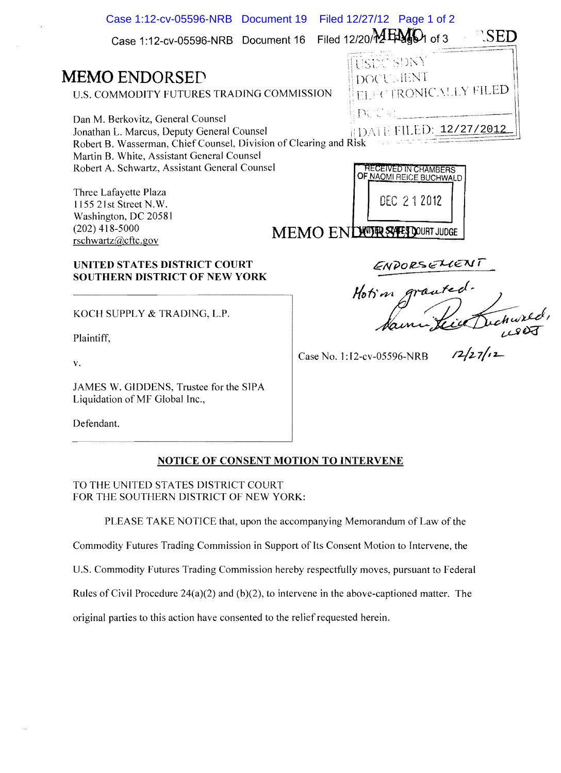| Case 1:12-cv-05596-NRB Document 16<br>USEC SONY<br><b>MEMO ENDORSED</b><br><b>DOCUMENT</b><br><b>ELECTRONICALLY FILED</b><br>U.S. COMMODITY FUTURES TRADING COMMISSION<br>${\mathbb N} \otimes \mathbb N$ . The contract of ${\mathbb N}$<br>Dan M. Berkovitz, General Counsel<br>DATE FILED: 12/27/2012<br>Jonathan L. Marcus, Deputy General Counsel<br>Robert B. Wasserman, Chief Counsel, Division of Clearing and Risk<br>Martin B. White, Assistant General Counsel<br>Robert A. Schwartz, Assistant General Counsel<br><b>RECEIVED IN CHAMBERS</b><br>OF NAOMI REICE BUCHWALD<br>Three Lafayette Plaza<br>DEC 212012<br>1155 21st Street N.W.<br>Washington, DC 20581<br>$(202)$ 418-5000<br>MEMO ENDUTR SYEP DOURT JUDGE<br>rschwartz@cftc.gov<br>ENPORSELIENT<br>UNITED STATES DISTRICT COURT<br>SOUTHERN DISTRICT OF NEW YORK<br>KOCH SUPPLY & TRADING, L.P.<br>$\mathbf{m}$ . $\mathbf{m}$ | Case 1:12-cv-05596-NRB Document 19 | Filed 12/27/12 Page 1 of 2                  |
|-------------------------------------------------------------------------------------------------------------------------------------------------------------------------------------------------------------------------------------------------------------------------------------------------------------------------------------------------------------------------------------------------------------------------------------------------------------------------------------------------------------------------------------------------------------------------------------------------------------------------------------------------------------------------------------------------------------------------------------------------------------------------------------------------------------------------------------------------------------------------------------------------------|------------------------------------|---------------------------------------------|
|                                                                                                                                                                                                                                                                                                                                                                                                                                                                                                                                                                                                                                                                                                                                                                                                                                                                                                       |                                    | Filed 12/20/ $M$ EMgD <sub>1</sub> of 3 SED |
|                                                                                                                                                                                                                                                                                                                                                                                                                                                                                                                                                                                                                                                                                                                                                                                                                                                                                                       |                                    |                                             |
|                                                                                                                                                                                                                                                                                                                                                                                                                                                                                                                                                                                                                                                                                                                                                                                                                                                                                                       |                                    |                                             |
|                                                                                                                                                                                                                                                                                                                                                                                                                                                                                                                                                                                                                                                                                                                                                                                                                                                                                                       |                                    |                                             |
|                                                                                                                                                                                                                                                                                                                                                                                                                                                                                                                                                                                                                                                                                                                                                                                                                                                                                                       |                                    |                                             |
|                                                                                                                                                                                                                                                                                                                                                                                                                                                                                                                                                                                                                                                                                                                                                                                                                                                                                                       |                                    |                                             |
|                                                                                                                                                                                                                                                                                                                                                                                                                                                                                                                                                                                                                                                                                                                                                                                                                                                                                                       |                                    |                                             |
|                                                                                                                                                                                                                                                                                                                                                                                                                                                                                                                                                                                                                                                                                                                                                                                                                                                                                                       |                                    |                                             |
|                                                                                                                                                                                                                                                                                                                                                                                                                                                                                                                                                                                                                                                                                                                                                                                                                                                                                                       |                                    |                                             |

Case No. 1:I2-cv-05596-NRB

 $12/27/12$ 

Plaintiff,

v.

JAMES W. GIDDENS, Trustee for the SlPA Liquidation of MF Global Inc.,

Defendant.

## NOTICE OF CONSENT MOTION TO INTERVENE

TO THE UNITED STATES DISTRICT COURT FOR THE SOUTHERN DISTRICT OF NEW YORK:

PLEASE TAKE NOTICE that, upon the accompanying Memorandum of Law of the

Commodity Futures Trading Commission in Support of Its Consent Motion to Intervene, the

U.S. Commodity Futures Trading Commission hereby respectfully moves, pursuant to Federal

Rules of Civil Procedure 24(a)(2) and (b)(2), to intervene in the above-captioned matter. The

original parties to this action have consented to the relief requested herein.